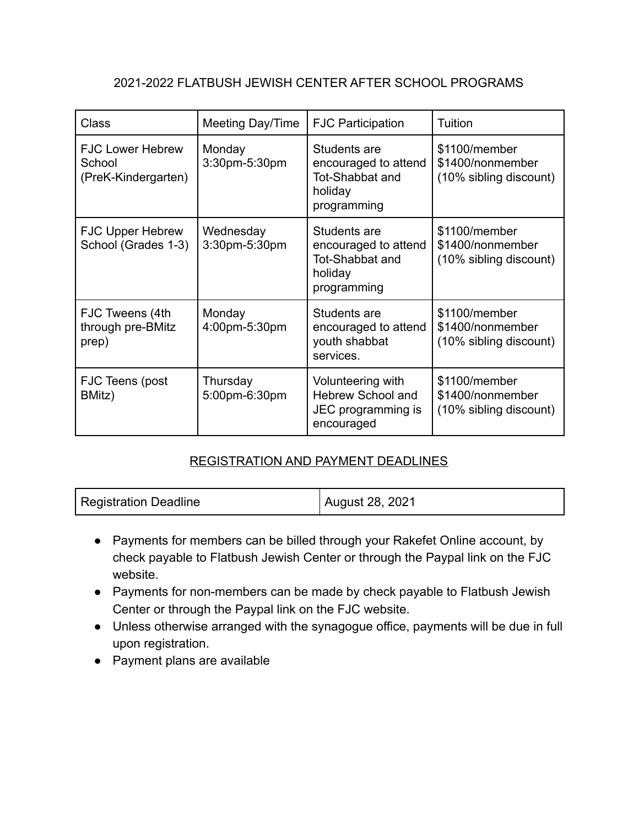## 2021-2022 FLATBUSH JEWISH CENTER AFTER SCHOOL PROGRAMS

| <b>Class</b>                                             | Meeting Day/Time           | <b>FJC Participation</b>                                                                 | Tuition                                                     |
|----------------------------------------------------------|----------------------------|------------------------------------------------------------------------------------------|-------------------------------------------------------------|
| <b>FJC Lower Hebrew</b><br>School<br>(PreK-Kindergarten) | Monday<br>3:30pm-5:30pm    | Students are<br>encouraged to attend<br><b>Tot-Shabbat and</b><br>holiday<br>programming | \$1100/member<br>\$1400/nonmember<br>(10% sibling discount) |
| <b>FJC Upper Hebrew</b><br>School (Grades 1-3)           | Wednesday<br>3:30pm-5:30pm | Students are<br>encouraged to attend<br>Tot-Shabbat and<br>holiday<br>programming        | \$1100/member<br>\$1400/nonmember<br>(10% sibling discount) |
| FJC Tweens (4th<br>through pre-BMitz<br>prep)            | Monday<br>4:00pm-5:30pm    | Students are<br>encouraged to attend<br>youth shabbat<br>services.                       | \$1100/member<br>\$1400/nonmember<br>(10% sibling discount) |
| FJC Teens (post<br>BMitz)                                | Thursday<br>5:00pm-6:30pm  | Volunteering with<br>Hebrew School and<br>JEC programming is<br>encouraged               | \$1100/member<br>\$1400/nonmember<br>(10% sibling discount) |

## REGISTRATION AND PAYMENT DEADLINES

- Payments for members can be billed through your Rakefet Online account, by check payable to Flatbush Jewish Center or through the Paypal link on the FJC website.
- Payments for non-members can be made by check payable to Flatbush Jewish Center or through the Paypal link on the FJC website.
- Unless otherwise arranged with the synagogue office, payments will be due in full upon registration.
- Payment plans are available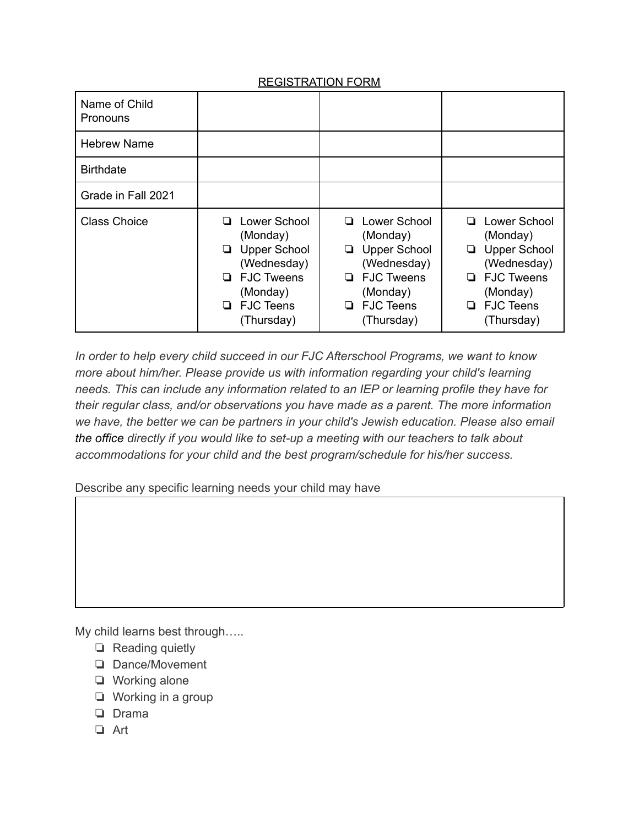## REGISTRATION FORM

| Name of Child<br><b>Pronouns</b> |                                                                                                                                     |                                                                                                                                                       |                                                                                                                                                   |
|----------------------------------|-------------------------------------------------------------------------------------------------------------------------------------|-------------------------------------------------------------------------------------------------------------------------------------------------------|---------------------------------------------------------------------------------------------------------------------------------------------------|
| <b>Hebrew Name</b>               |                                                                                                                                     |                                                                                                                                                       |                                                                                                                                                   |
| <b>Birthdate</b>                 |                                                                                                                                     |                                                                                                                                                       |                                                                                                                                                   |
| Grade in Fall 2021               |                                                                                                                                     |                                                                                                                                                       |                                                                                                                                                   |
| <b>Class Choice</b>              | □ Lower School<br>(Monday)<br><b>Upper School</b><br>(Wednesday)<br>$\Box$ FJC Tweens<br>(Monday)<br>$\Box$ FJC Teens<br>(Thursday) | Lower School<br>ப<br>(Monday)<br><b>Upper School</b><br>❏<br>(Wednesday)<br><b>FJC Tweens</b><br>□<br>(Monday)<br><b>FJC Teens</b><br>□<br>(Thursday) | Lower School<br>□<br>(Monday)<br><b>Upper School</b><br>❏<br>(Wednesday)<br>$\Box$ FJC Tweens<br>(Monday)<br><b>FJC Teens</b><br>o.<br>(Thursday) |

*In order to help every child succeed in our FJC Afterschool Programs, we want to know more about him/her. Please provide us with information regarding your child's learning needs. This can include any information related to an IEP or learning profile they have for their regular class, and/or observations you have made as a parent. The more information we have, the better we can be partners in your child's Jewish education. Please also email the office directly if you would like to set-up a meeting with our teachers to talk about accommodations for your child and the best program/schedule for his/her success.*

Describe any specific learning needs your child may have

My child learns best through…..

- ❏ Reading quietly
- ❏ Dance/Movement
- ❏ Working alone
- ❏ Working in a group
- ❏ Drama
- ❏ Art